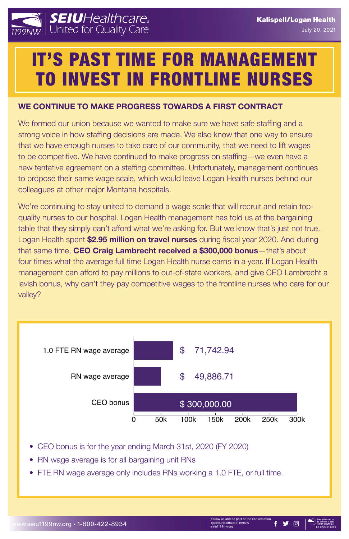#### www.seiu1199nw.org • 1-800-422-8934

ollow us and be part of the conversatior @SEIUHealthcare1199NW OSEIUHealthcare1199NW<br>seiu1199nw.org bb 072021 March 1990



**JW & Star** 



## **WE CONTINUE TO MAKE PROGRESS TOWARDS A FIRST CONTRACT**

We formed our union because we wanted to make sure we have safe staffing and a strong voice in how staffing decisions are made. We also know that one way to ensure that we have enough nurses to take care of our community, that we need to lift wages to be competitive. We have continued to make progress on staffing—we even have a new tentative agreement on a staffing committee. Unfortunately, management continues to propose their same wage scale, which would leave Logan Health nurses behind our colleagues at other major Montana hospitals.

We're continuing to stay united to demand a wage scale that will recruit and retain topquality nurses to our hospital. Logan Health management has told us at the bargaining table that they simply can't afford what we're asking for. But we know that's just not true. Logan Health spent **\$2.95 million on travel nurses** during fiscal year 2020. And during that same time, **CEO Craig Lambrecht received a \$300,000 bonus**—that's about four times what the average full time Logan Health nurse earns in a year. If Logan Health management can afford to pay millions to out-of-state workers, and give CEO Lambrecht a lavish bonus, why can't they pay competitive wages to the frontline nurses who care for our valley?

# IT'S PAST TIME FOR MANAGEMENT TO INVEST IN FRONTLINE NURSES

| CEO bonus | \$300,000.00 |             |             |      |      |      |
|-----------|--------------|-------------|-------------|------|------|------|
|           |              | 100k<br>50k | <b>150k</b> | 200k | 250k | 300k |



- CEO bonus is for the year ending March 31st, 2020 (FY 2020)
- RN wage average is for all bargaining unit RNs
- FTE RN wage average only includes RNs working a 1.0 FTE, or full time.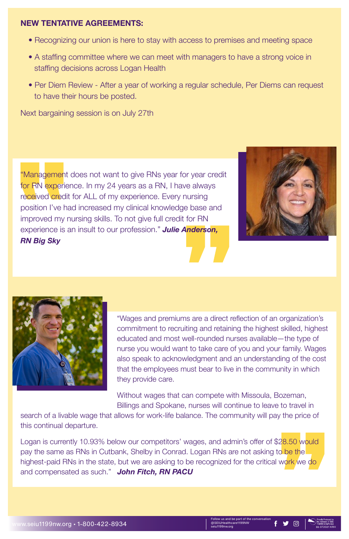Follow us and be part of the conversation @SEIUHealthcare1199NW @SEIUHealthcare1199NW<br>seiu1199nw.org bb 072021 KRH



#### **NEW TENTATIVE AGREEMENTS:**

- Recognizing our union is here to stay with access to premises and meeting space
- A staffing committee where we can meet with managers to have a strong voice in staffing decisions across Logan Health
- Per Diem Review After a year of working a regular schedule, Per Diems can request to have their hours be posted.

"Management does not want to give RNs year for year credit for RN experience. In my 24 years as a RN, I have always received credit for ALL of my experience. Every nursing position I've had increased my clinical knowledge base and improved my nursing skills. To not give full credit for RN experience is an insult to our profession." *Julie Anderson, RN Big Sky*





Next bargaining session is on July 27th

"Wages and premiums are a direct reflection of an organization's commitment to recruiting and retaining the highest skilled, highest educated and most well-rounded nurses available—the type of nurse you would want to take care of you and your family. Wages also speak to acknowledgment and an understanding of the cost that the employees must bear to live in the community in which they provide care.

Without wages that can compete with Missoula, Bozeman,

Billings and Spokane, nurses will continue to leave to travel in search of a livable wage that allows for work-life balance. The community will pay the price of this continual departure.

Logan is currently 10.93% below our competitors' wages, and admin's offer of \$28.50 would pay the same as RNs in Cutbank, Shelby in Conrad. Logan RNs are not asking to be the highest-paid RNs in the state, but we are asking to be recognized for the critical work we do and compensated as such." *John Fitch, RN PACU*